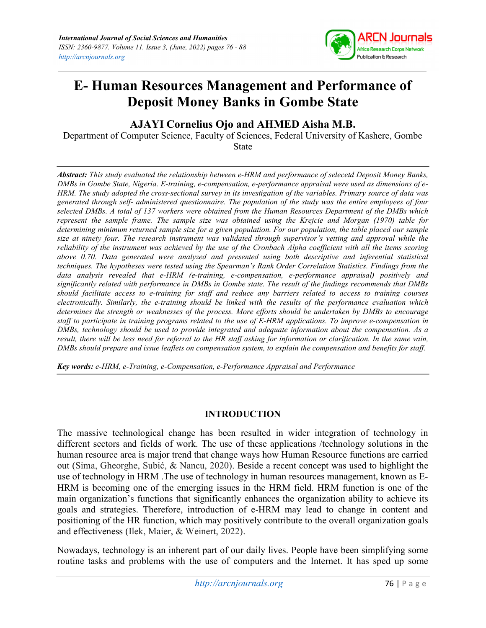

# E- Human Resources Management and Performance of Deposit Money Banks in Gombe State

## AJAYI Cornelius Ojo and AHMED Aisha M.B.

Department of Computer Science, Faculty of Sciences, Federal University of Kashere, Gombe State

Abstract: This study evaluated the relationship between e-HRM and performance of selecetd Deposit Money Banks, DMBs in Gombe State, Nigeria. E-training, e-compensation, e-performance appraisal were used as dimensions of e-HRM. The study adopted the cross-sectional survey in its investigation of the variables. Primary source of data was generated through self- administered questionnaire. The population of the study was the entire employees of four selected DMBs. A total of 137 workers were obtained from the Human Resources Department of the DMBs which represent the sample frame. The sample size was obtained using the Krejcie and Morgan (1970) table for determining minimum returned sample size for a given population. For our population, the table placed our sample size at ninety four. The research instrument was validated through supervisor's vetting and approval while the reliability of the instrument was achieved by the use of the Cronbach Alpha coefficient with all the items scoring above 0.70. Data generated were analyzed and presented using both descriptive and inferential statistical techniques. The hypotheses were tested using the Spearman's Rank Order Correlation Statistics. Findings from the data analysis revealed that e-HRM (e-training, e-compensation, e-performance appraisal) positively and significantly related with performance in DMBs in Gombe state. The result of the findings recommends that DMBs should facilitate access to e-training for staff and reduce any barriers related to access to training courses electronically. Similarly, the e-training should be linked with the results of the performance evaluation which determines the strength or weaknesses of the process. More efforts should be undertaken by DMBs to encourage staff to participate in training programs related to the use of E-HRM applications. To improve e-compensation in DMBs, technology should be used to provide integrated and adequate information about the compensation. As a result, there will be less need for referral to the HR staff asking for information or clarification. In the same vain, DMBs should prepare and issue leaflets on compensation system, to explain the compensation and benefits for staff.

Key words: e-HRM, e-Training, e-Compensation, e-Performance Appraisal and Performance

## INTRODUCTION

The massive technological change has been resulted in wider integration of technology in different sectors and fields of work. The use of these applications /technology solutions in the human resource area is major trend that change ways how Human Resource functions are carried out (Sima, Gheorghe, Subić, & Nancu, 2020). Beside a recent concept was used to highlight the use of technology in HRM .The use of technology in human resources management, known as E-HRM is becoming one of the emerging issues in the HRM field. HRM function is one of the main organization's functions that significantly enhances the organization ability to achieve its goals and strategies. Therefore, introduction of e-HRM may lead to change in content and positioning of the HR function, which may positively contribute to the overall organization goals and effectiveness (Ilek, Maier, & Weinert, 2022).

Nowadays, technology is an inherent part of our daily lives. People have been simplifying some routine tasks and problems with the use of computers and the Internet. It has sped up some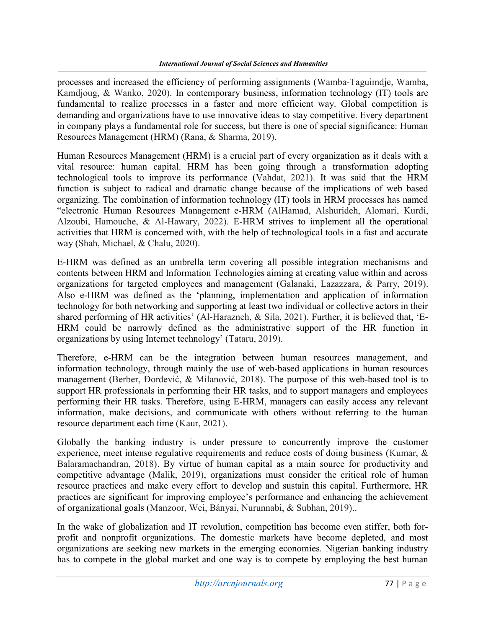processes and increased the efficiency of performing assignments (Wamba-Taguimdje, Wamba, Kamdjoug, & Wanko, 2020). In contemporary business, information technology (IT) tools are fundamental to realize processes in a faster and more efficient way. Global competition is demanding and organizations have to use innovative ideas to stay competitive. Every department in company plays a fundamental role for success, but there is one of special significance: Human Resources Management (HRM) (Rana, & Sharma, 2019).

Human Resources Management (HRM) is a crucial part of every organization as it deals with a vital resource: human capital. HRM has been going through a transformation adopting technological tools to improve its performance (Vahdat, 2021). It was said that the HRM function is subject to radical and dramatic change because of the implications of web based organizing. The combination of information technology (IT) tools in HRM processes has named "electronic Human Resources Management e-HRM (AlHamad, Alshurideh, Alomari, Kurdi, Alzoubi, Hamouche, & Al-Hawary, 2022). E-HRM strives to implement all the operational activities that HRM is concerned with, with the help of technological tools in a fast and accurate way (Shah, Michael, & Chalu, 2020).

E-HRM was defined as an umbrella term covering all possible integration mechanisms and contents between HRM and Information Technologies aiming at creating value within and across organizations for targeted employees and management (Galanaki, Lazazzara, & Parry, 2019). Also e-HRM was defined as the 'planning, implementation and application of information technology for both networking and supporting at least two individual or collective actors in their shared performing of HR activities' (Al-Harazneh, & Sila, 2021). Further, it is believed that, 'E-HRM could be narrowly defined as the administrative support of the HR function in organizations by using Internet technology' (Tataru, 2019).

Therefore, e-HRM can be the integration between human resources management, and information technology, through mainly the use of web-based applications in human resources management (Berber, Đorđević, & Milanović, 2018). The purpose of this web-based tool is to support HR professionals in performing their HR tasks, and to support managers and employees performing their HR tasks. Therefore, using E-HRM, managers can easily access any relevant information, make decisions, and communicate with others without referring to the human resource department each time (Kaur, 2021).

Globally the banking industry is under pressure to concurrently improve the customer experience, meet intense regulative requirements and reduce costs of doing business (Kumar, & Balaramachandran, 2018). By virtue of human capital as a main source for productivity and competitive advantage (Malik, 2019), organizations must consider the critical role of human resource practices and make every effort to develop and sustain this capital. Furthermore, HR practices are significant for improving employee's performance and enhancing the achievement of organizational goals (Manzoor, Wei, Bányai, Nurunnabi, & Subhan, 2019)..

In the wake of globalization and IT revolution, competition has become even stiffer, both forprofit and nonprofit organizations. The domestic markets have become depleted, and most organizations are seeking new markets in the emerging economies. Nigerian banking industry has to compete in the global market and one way is to compete by employing the best human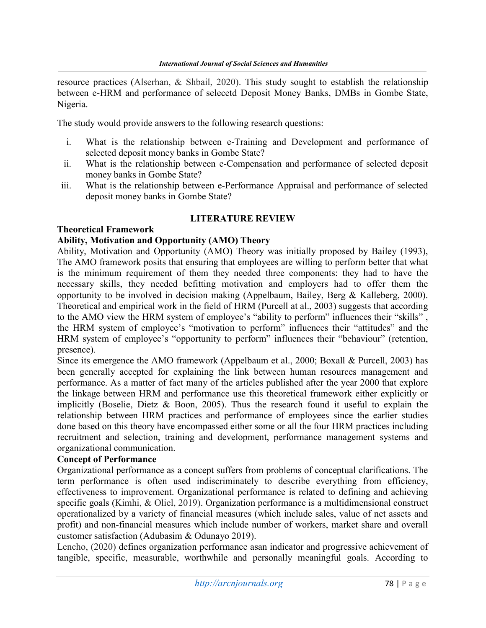resource practices (Alserhan, & Shbail, 2020). This study sought to establish the relationship between e-HRM and performance of selecetd Deposit Money Banks, DMBs in Gombe State, Nigeria.

The study would provide answers to the following research questions:

- i. What is the relationship between e-Training and Development and performance of selected deposit money banks in Gombe State?
- ii. What is the relationship between e-Compensation and performance of selected deposit money banks in Gombe State?
- iii. What is the relationship between e-Performance Appraisal and performance of selected deposit money banks in Gombe State?

#### LITERATURE REVIEW

#### Theoretical Framework

#### Ability, Motivation and Opportunity (AMO) Theory

Ability, Motivation and Opportunity (AMO) Theory was initially proposed by Bailey (1993), The AMO framework posits that ensuring that employees are willing to perform better that what is the minimum requirement of them they needed three components: they had to have the necessary skills, they needed befitting motivation and employers had to offer them the opportunity to be involved in decision making (Appelbaum, Bailey, Berg & Kalleberg, 2000). Theoretical and empirical work in the field of HRM (Purcell at al., 2003) suggests that according to the AMO view the HRM system of employee's "ability to perform" influences their "skills" , the HRM system of employee's "motivation to perform" influences their "attitudes" and the HRM system of employee's "opportunity to perform" influences their "behaviour" (retention, presence).

Since its emergence the AMO framework (Appelbaum et al., 2000; Boxall & Purcell, 2003) has been generally accepted for explaining the link between human resources management and performance. As a matter of fact many of the articles published after the year 2000 that explore the linkage between HRM and performance use this theoretical framework either explicitly or implicitly (Boselie, Dietz & Boon, 2005). Thus the research found it useful to explain the relationship between HRM practices and performance of employees since the earlier studies done based on this theory have encompassed either some or all the four HRM practices including recruitment and selection, training and development, performance management systems and organizational communication.

### Concept of Performance

Organizational performance as a concept suffers from problems of conceptual clarifications. The term performance is often used indiscriminately to describe everything from efficiency, effectiveness to improvement. Organizational performance is related to defining and achieving specific goals (Kimhi, & Oliel, 2019). Organization performance is a multidimensional construct operationalized by a variety of financial measures (which include sales, value of net assets and profit) and non-financial measures which include number of workers, market share and overall customer satisfaction (Adubasim & Odunayo 2019).

Lencho, (2020) defines organization performance asan indicator and progressive achievement of tangible, specific, measurable, worthwhile and personally meaningful goals. According to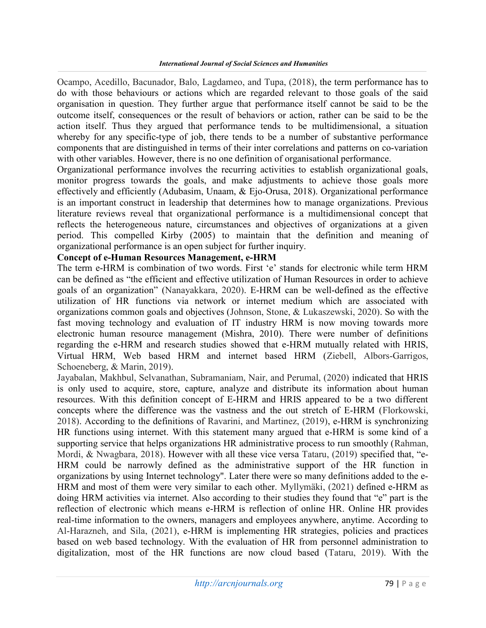Ocampo, Acedillo, Bacunador, Balo, Lagdameo, and Tupa, (2018), the term performance has to do with those behaviours or actions which are regarded relevant to those goals of the said organisation in question. They further argue that performance itself cannot be said to be the outcome itself, consequences or the result of behaviors or action, rather can be said to be the action itself. Thus they argued that performance tends to be multidimensional, a situation whereby for any specific-type of job, there tends to be a number of substantive performance components that are distinguished in terms of their inter correlations and patterns on co-variation with other variables. However, there is no one definition of organisational performance.

Organizational performance involves the recurring activities to establish organizational goals, monitor progress towards the goals, and make adjustments to achieve those goals more effectively and efficiently (Adubasim, Unaam, & Ejo-Orusa, 2018). Organizational performance is an important construct in leadership that determines how to manage organizations. Previous literature reviews reveal that organizational performance is a multidimensional concept that reflects the heterogeneous nature, circumstances and objectives of organizations at a given period. This compelled Kirby (2005) to maintain that the definition and meaning of organizational performance is an open subject for further inquiry.

## Concept of e-Human Resources Management, e-HRM

The term e-HRM is combination of two words. First 'e' stands for electronic while term HRM can be defined as "the efficient and effective utilization of Human Resources in order to achieve goals of an organization" (Nanayakkara, 2020). E-HRM can be well-defined as the effective utilization of HR functions via network or internet medium which are associated with organizations common goals and objectives (Johnson, Stone, & Lukaszewski, 2020). So with the fast moving technology and evaluation of IT industry HRM is now moving towards more electronic human resource management (Mishra, 2010). There were number of definitions regarding the e-HRM and research studies showed that e-HRM mutually related with HRIS, Virtual HRM, Web based HRM and internet based HRM (Ziebell, Albors-Garrigos, Schoeneberg, & Marin, 2019).

Jayabalan, Makhbul, Selvanathan, Subramaniam, Nair, and Perumal, (2020) indicated that HRIS is only used to acquire, store, capture, analyze and distribute its information about human resources. With this definition concept of E-HRM and HRIS appeared to be a two different concepts where the difference was the vastness and the out stretch of E-HRM (Florkowski, 2018). According to the definitions of Ravarini, and Martinez, (2019), e-HRM is synchronizing HR functions using internet. With this statement many argued that e-HRM is some kind of a supporting service that helps organizations HR administrative process to run smoothly (Rahman, Mordi, & Nwagbara, 2018). However with all these vice versa Tataru, (2019) specified that, "e-HRM could be narrowly defined as the administrative support of the HR function in organizations by using Internet technology". Later there were so many definitions added to the e-HRM and most of them were very similar to each other. Myllymäki, (2021) defined e-HRM as doing HRM activities via internet. Also according to their studies they found that "e" part is the reflection of electronic which means e-HRM is reflection of online HR. Online HR provides real-time information to the owners, managers and employees anywhere, anytime. According to Al-Harazneh, and Sila, (2021), e-HRM is implementing HR strategies, policies and practices based on web based technology. With the evaluation of HR from personnel administration to digitalization, most of the HR functions are now cloud based (Tataru, 2019). With the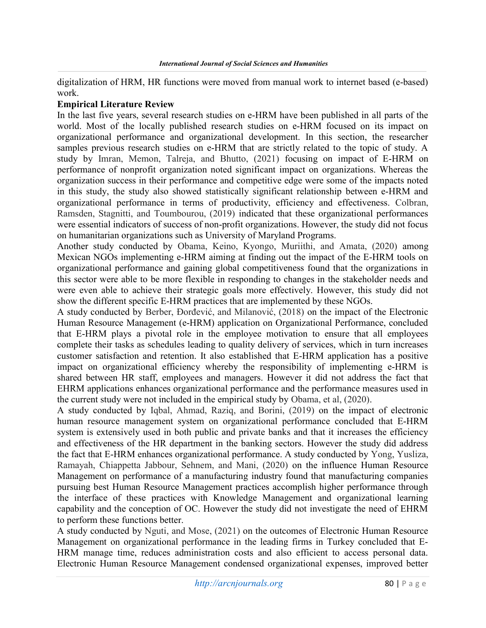digitalization of HRM, HR functions were moved from manual work to internet based (e-based) work.

#### Empirical Literature Review

In the last five years, several research studies on e-HRM have been published in all parts of the world. Most of the locally published research studies on e-HRM focused on its impact on organizational performance and organizational development. In this section, the researcher samples previous research studies on e-HRM that are strictly related to the topic of study. A study by Imran, Memon, Talreja, and Bhutto, (2021) focusing on impact of E-HRM on performance of nonprofit organization noted significant impact on organizations. Whereas the organization success in their performance and competitive edge were some of the impacts noted in this study, the study also showed statistically significant relationship between e-HRM and organizational performance in terms of productivity, efficiency and effectiveness. Colbran, Ramsden, Stagnitti, and Toumbourou, (2019) indicated that these organizational performances were essential indicators of success of non-profit organizations. However, the study did not focus on humanitarian organizations such as University of Maryland Programs.

Another study conducted by Obama, Keino, Kyongo, Muriithi, and Amata, (2020) among Mexican NGOs implementing e-HRM aiming at finding out the impact of the E-HRM tools on organizational performance and gaining global competitiveness found that the organizations in this sector were able to be more flexible in responding to changes in the stakeholder needs and were even able to achieve their strategic goals more effectively. However, this study did not show the different specific E-HRM practices that are implemented by these NGOs.

A study conducted by Berber, Đorđević, and Milanović, (2018) on the impact of the Electronic Human Resource Management (e-HRM) application on Organizational Performance, concluded that E-HRM plays a pivotal role in the employee motivation to ensure that all employees complete their tasks as schedules leading to quality delivery of services, which in turn increases customer satisfaction and retention. It also established that E-HRM application has a positive impact on organizational efficiency whereby the responsibility of implementing e-HRM is shared between HR staff, employees and managers. However it did not address the fact that EHRM applications enhances organizational performance and the performance measures used in the current study were not included in the empirical study by Obama, et al, (2020).

A study conducted by Iqbal, Ahmad, Raziq, and Borini, (2019) on the impact of electronic human resource management system on organizational performance concluded that E-HRM system is extensively used in both public and private banks and that it increases the efficiency and effectiveness of the HR department in the banking sectors. However the study did address the fact that E-HRM enhances organizational performance. A study conducted by Yong, Yusliza, Ramayah, Chiappetta Jabbour, Sehnem, and Mani, (2020) on the influence Human Resource Management on performance of a manufacturing industry found that manufacturing companies pursuing best Human Resource Management practices accomplish higher performance through the interface of these practices with Knowledge Management and organizational learning capability and the conception of OC. However the study did not investigate the need of EHRM to perform these functions better.

A study conducted by Nguti, and Mose, (2021) on the outcomes of Electronic Human Resource Management on organizational performance in the leading firms in Turkey concluded that E-HRM manage time, reduces administration costs and also efficient to access personal data. Electronic Human Resource Management condensed organizational expenses, improved better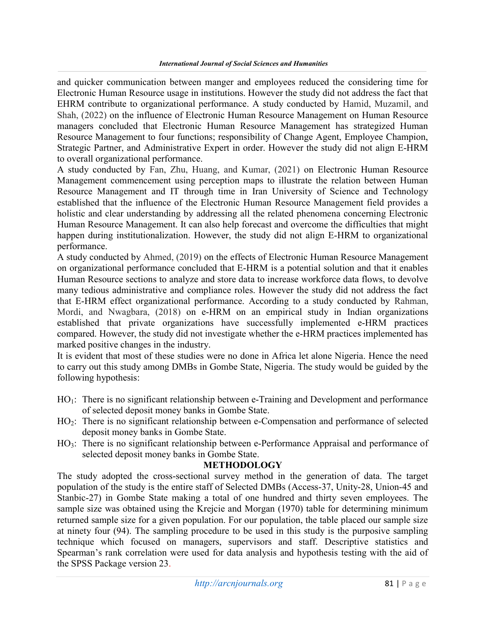and quicker communication between manger and employees reduced the considering time for Electronic Human Resource usage in institutions. However the study did not address the fact that EHRM contribute to organizational performance. A study conducted by Hamid, Muzamil, and Shah, (2022) on the influence of Electronic Human Resource Management on Human Resource managers concluded that Electronic Human Resource Management has strategized Human Resource Management to four functions; responsibility of Change Agent, Employee Champion, Strategic Partner, and Administrative Expert in order. However the study did not align E-HRM to overall organizational performance.

A study conducted by Fan, Zhu, Huang, and Kumar, (2021) on Electronic Human Resource Management commencement using perception maps to illustrate the relation between Human Resource Management and IT through time in Iran University of Science and Technology established that the influence of the Electronic Human Resource Management field provides a holistic and clear understanding by addressing all the related phenomena concerning Electronic Human Resource Management. It can also help forecast and overcome the difficulties that might happen during institutionalization. However, the study did not align E-HRM to organizational performance.

A study conducted by Ahmed, (2019) on the effects of Electronic Human Resource Management on organizational performance concluded that E-HRM is a potential solution and that it enables Human Resource sections to analyze and store data to increase workforce data flows, to devolve many tedious administrative and compliance roles. However the study did not address the fact that E-HRM effect organizational performance. According to a study conducted by Rahman, Mordi, and Nwagbara, (2018) on e-HRM on an empirical study in Indian organizations established that private organizations have successfully implemented e-HRM practices compared. However, the study did not investigate whether the e-HRM practices implemented has marked positive changes in the industry.

It is evident that most of these studies were no done in Africa let alone Nigeria. Hence the need to carry out this study among DMBs in Gombe State, Nigeria. The study would be guided by the following hypothesis:

- $HO_1$ : There is no significant relationship between e-Training and Development and performance of selected deposit money banks in Gombe State.
- HO<sub>2</sub>: There is no significant relationship between e-Compensation and performance of selected deposit money banks in Gombe State.
- HO<sub>3</sub>: There is no significant relationship between e-Performance Appraisal and performance of selected deposit money banks in Gombe State.

#### METHODOLOGY

The study adopted the cross-sectional survey method in the generation of data. The target population of the study is the entire staff of Selected DMBs (Access-37, Unity-28, Union-45 and Stanbic-27) in Gombe State making a total of one hundred and thirty seven employees. The sample size was obtained using the Krejcie and Morgan (1970) table for determining minimum returned sample size for a given population. For our population, the table placed our sample size at ninety four (94). The sampling procedure to be used in this study is the purposive sampling technique which focused on managers, supervisors and staff. Descriptive statistics and Spearman's rank correlation were used for data analysis and hypothesis testing with the aid of the SPSS Package version 23.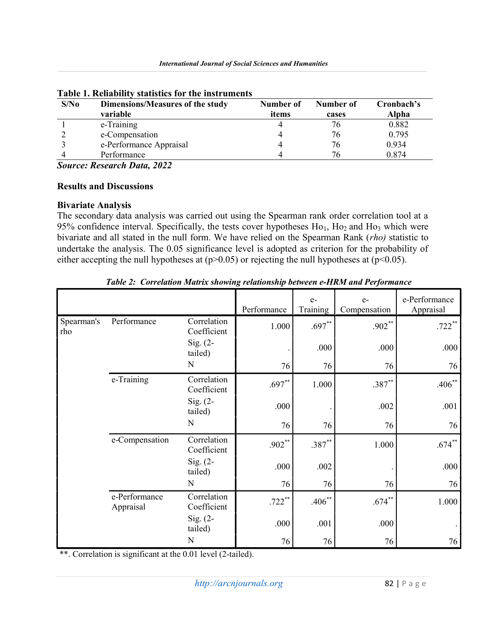| S/No | Dimensions/Measures of the study | Number of | Number of | Cronbach's |
|------|----------------------------------|-----------|-----------|------------|
|      | variable                         | items     | cases     | Alpha      |
|      | e-Training                       |           | 76        | 0.882      |
|      | e-Compensation                   |           | 76        | 0.795      |
|      | e-Performance Appraisal          |           | 76        | 0.934      |
|      | Performance                      |           | 76        | 0.874      |

Table 1. Reliability statistics for the instruments

Source: Research Data, 2022

## Results and Discussions

## Bivariate Analysis

The secondary data analysis was carried out using the Spearman rank order correlation tool at a 95% confidence interval. Specifically, the tests cover hypotheses  $Ho<sub>1</sub>$ ,  $Ho<sub>2</sub>$  and  $Ho<sub>3</sub>$  which were bivariate and all stated in the null form. We have relied on the Spearman Rank (rho) statistic to undertake the analysis. The 0.05 significance level is adopted as criterion for the probability of either accepting the null hypotheses at  $(p>0.05)$  or rejecting the null hypotheses at  $(p<0.05)$ .

|                   |                            |                            | Performance | $e-$<br>Training | $e-$<br>Compensation | e-Performance<br>Appraisal |
|-------------------|----------------------------|----------------------------|-------------|------------------|----------------------|----------------------------|
| Spearman's<br>rho | Performance                | Correlation<br>Coefficient | 1.000       | $.697**$         | $.902***$            | $.722***$                  |
|                   |                            | Sig. $(2-$<br>tailed)      |             | .000             | .000                 | .000                       |
|                   |                            | N                          | 76          | 76               | 76                   | 76                         |
|                   | e-Training                 | Correlation<br>Coefficient | $.697**$    | 1.000            | $.387**$             | $.406***$                  |
|                   |                            | Sig. $(2-$<br>tailed)      | .000        |                  | .002                 | .001                       |
|                   |                            | N                          | 76          | 76               | 76                   | 76                         |
|                   | e-Compensation             | Correlation<br>Coefficient | $.902**$    | $.387**$         | 1.000                | $.674***$                  |
|                   |                            | Sig. $(2-$<br>tailed)      | .000        | .002             |                      | .000                       |
|                   |                            | N                          | 76          | 76               | 76                   | 76                         |
|                   | e-Performance<br>Appraisal | Correlation<br>Coefficient | $.722$ **   | $.406**$         | $.674***$            | 1.000                      |
|                   |                            | Sig. $(2-$<br>tailed)      | .000        | .001             | .000                 |                            |
|                   |                            | N                          | 76          | 76               | 76                   | 76                         |

Table 2: Correlation Matrix showing relationship between e-HRM and Performance

\*\*. Correlation is significant at the 0.01 level (2-tailed).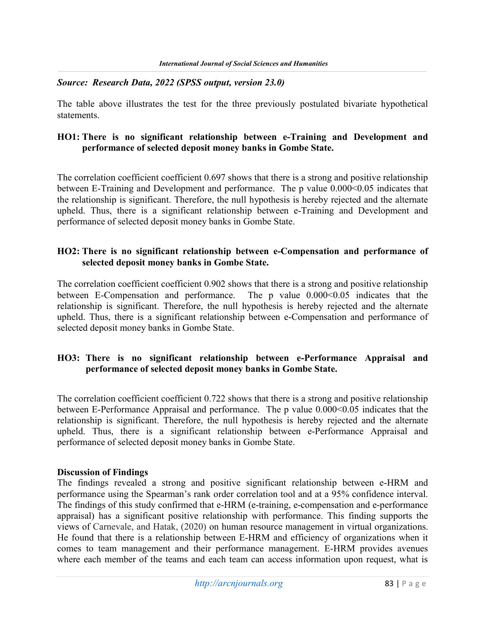### Source: Research Data, 2022 (SPSS output, version 23.0)

The table above illustrates the test for the three previously postulated bivariate hypothetical statements.

### HO1: There is no significant relationship between e-Training and Development and performance of selected deposit money banks in Gombe State.

 The correlation coefficient coefficient 0.697 shows that there is a strong and positive relationship between E-Training and Development and performance. The p value  $0.000<0.05$  indicates that the relationship is significant. Therefore, the null hypothesis is hereby rejected and the alternate upheld. Thus, there is a significant relationship between e-Training and Development and performance of selected deposit money banks in Gombe State.

### HO2: There is no significant relationship between e-Compensation and performance of selected deposit money banks in Gombe State.

 The correlation coefficient coefficient 0.902 shows that there is a strong and positive relationship between E-Compensation and performance. The p value  $0.000<0.05$  indicates that the relationship is significant. Therefore, the null hypothesis is hereby rejected and the alternate upheld. Thus, there is a significant relationship between e-Compensation and performance of selected deposit money banks in Gombe State.

## HO3: There is no significant relationship between e-Performance Appraisal and performance of selected deposit money banks in Gombe State.

 The correlation coefficient coefficient 0.722 shows that there is a strong and positive relationship between E-Performance Appraisal and performance. The p value  $0.000<0.05$  indicates that the relationship is significant. Therefore, the null hypothesis is hereby rejected and the alternate upheld. Thus, there is a significant relationship between e-Performance Appraisal and performance of selected deposit money banks in Gombe State.

#### Discussion of Findings

The findings revealed a strong and positive significant relationship between e-HRM and performance using the Spearman's rank order correlation tool and at a 95% confidence interval. The findings of this study confirmed that e-HRM (e-training, e-compensation and e-performance appraisal) has a significant positive relationship with performance. This finding supports the views of Carnevale, and Hatak, (2020) on human resource management in virtual organizations. He found that there is a relationship between E-HRM and efficiency of organizations when it comes to team management and their performance management. E-HRM provides avenues where each member of the teams and each team can access information upon request, what is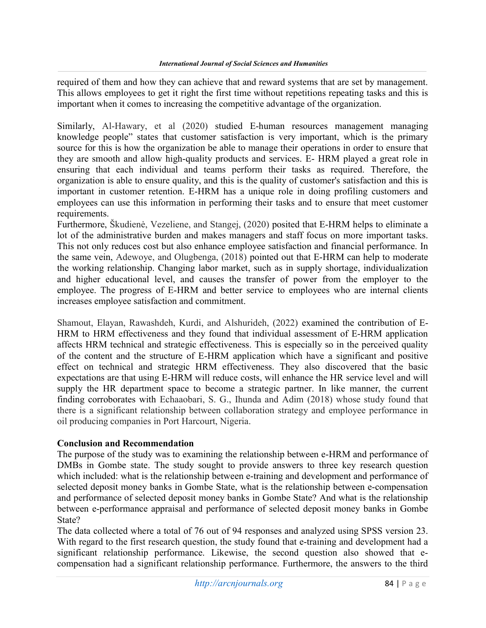required of them and how they can achieve that and reward systems that are set by management. This allows employees to get it right the first time without repetitions repeating tasks and this is important when it comes to increasing the competitive advantage of the organization.

Similarly, Al-Hawary, et al (2020) studied E-human resources management managing knowledge people" states that customer satisfaction is very important, which is the primary source for this is how the organization be able to manage their operations in order to ensure that they are smooth and allow high-quality products and services. E- HRM played a great role in ensuring that each individual and teams perform their tasks as required. Therefore, the organization is able to ensure quality, and this is the quality of customer's satisfaction and this is important in customer retention. E-HRM has a unique role in doing profiling customers and employees can use this information in performing their tasks and to ensure that meet customer requirements.

Furthermore, Škudienė, Vezeliene, and Stangej, (2020) posited that E-HRM helps to eliminate a lot of the administrative burden and makes managers and staff focus on more important tasks. This not only reduces cost but also enhance employee satisfaction and financial performance. In the same vein, Adewoye, and Olugbenga, (2018) pointed out that E-HRM can help to moderate the working relationship. Changing labor market, such as in supply shortage, individualization and higher educational level, and causes the transfer of power from the employer to the employee. The progress of E-HRM and better service to employees who are internal clients increases employee satisfaction and commitment.

Shamout, Elayan, Rawashdeh, Kurdi, and Alshurideh, (2022) examined the contribution of E-HRM to HRM effectiveness and they found that individual assessment of E-HRM application affects HRM technical and strategic effectiveness. This is especially so in the perceived quality of the content and the structure of E-HRM application which have a significant and positive effect on technical and strategic HRM effectiveness. They also discovered that the basic expectations are that using E-HRM will reduce costs, will enhance the HR service level and will supply the HR department space to become a strategic partner. In like manner, the current finding corroborates with Echaaobari, S. G., Ihunda and Adim (2018) whose study found that there is a significant relationship between collaboration strategy and employee performance in oil producing companies in Port Harcourt, Nigeria.

## Conclusion and Recommendation

The purpose of the study was to examining the relationship between e-HRM and performance of DMBs in Gombe state. The study sought to provide answers to three key research question which included: what is the relationship between e-training and development and performance of selected deposit money banks in Gombe State, what is the relationship between e-compensation and performance of selected deposit money banks in Gombe State? And what is the relationship between e-performance appraisal and performance of selected deposit money banks in Gombe State?

The data collected where a total of 76 out of 94 responses and analyzed using SPSS version 23. With regard to the first research question, the study found that e-training and development had a significant relationship performance. Likewise, the second question also showed that ecompensation had a significant relationship performance. Furthermore, the answers to the third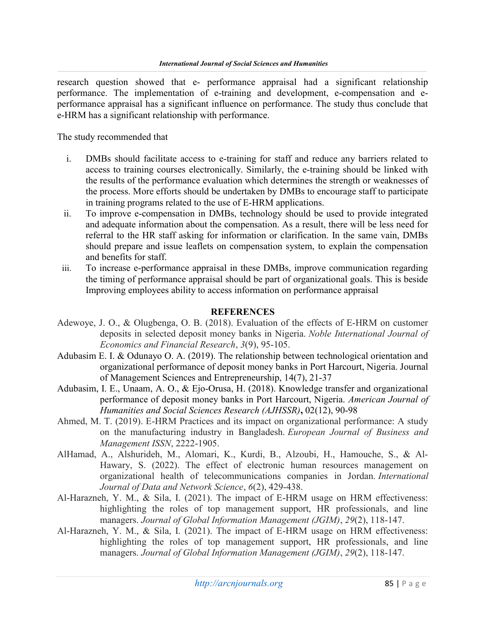research question showed that e- performance appraisal had a significant relationship performance. The implementation of e-training and development, e-compensation and eperformance appraisal has a significant influence on performance. The study thus conclude that e-HRM has a significant relationship with performance.

The study recommended that

- i. DMBs should facilitate access to e-training for staff and reduce any barriers related to access to training courses electronically. Similarly, the e-training should be linked with the results of the performance evaluation which determines the strength or weaknesses of the process. More efforts should be undertaken by DMBs to encourage staff to participate in training programs related to the use of E-HRM applications.
- ii. To improve e-compensation in DMBs, technology should be used to provide integrated and adequate information about the compensation. As a result, there will be less need for referral to the HR staff asking for information or clarification. In the same vain, DMBs should prepare and issue leaflets on compensation system, to explain the compensation and benefits for staff.
- iii. To increase e-performance appraisal in these DMBs, improve communication regarding the timing of performance appraisal should be part of organizational goals. This is beside Improving employees ability to access information on performance appraisal

#### **REFERENCES**

- Adewoye, J. O., & Olugbenga, O. B. (2018). Evaluation of the effects of E-HRM on customer deposits in selected deposit money banks in Nigeria. Noble International Journal of Economics and Financial Research, 3(9), 95-105.
- Adubasim E. I. & Odunayo O. A. (2019). The relationship between technological orientation and organizational performance of deposit money banks in Port Harcourt, Nigeria. Journal of Management Sciences and Entrepreneurship, 14(7), 21-37
- Adubasim, I. E., Unaam, A. O., & Ejo-Orusa, H. (2018). Knowledge transfer and organizational performance of deposit money banks in Port Harcourt, Nigeria. American Journal of Humanities and Social Sciences Research (AJHSSR), 02(12), 90-98
- Ahmed, M. T. (2019). E-HRM Practices and its impact on organizational performance: A study on the manufacturing industry in Bangladesh. European Journal of Business and Management ISSN, 2222-1905.
- AlHamad, A., Alshurideh, M., Alomari, K., Kurdi, B., Alzoubi, H., Hamouche, S., & Al-Hawary, S. (2022). The effect of electronic human resources management on organizational health of telecommunications companies in Jordan. International Journal of Data and Network Science, 6(2), 429-438.
- Al-Harazneh, Y. M., & Sila, I. (2021). The impact of E-HRM usage on HRM effectiveness: highlighting the roles of top management support, HR professionals, and line managers. Journal of Global Information Management (JGIM), 29(2), 118-147.
- Al-Harazneh, Y. M., & Sila, I. (2021). The impact of E-HRM usage on HRM effectiveness: highlighting the roles of top management support, HR professionals, and line managers. Journal of Global Information Management (JGIM), 29(2), 118-147.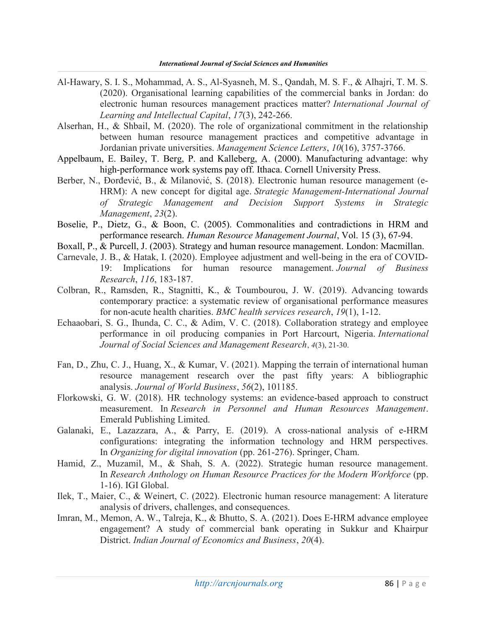- Al-Hawary, S. I. S., Mohammad, A. S., Al-Syasneh, M. S., Qandah, M. S. F., & Alhajri, T. M. S. (2020). Organisational learning capabilities of the commercial banks in Jordan: do electronic human resources management practices matter? International Journal of Learning and Intellectual Capital, 17(3), 242-266.
- Alserhan, H., & Shbail, M. (2020). The role of organizational commitment in the relationship between human resource management practices and competitive advantage in Jordanian private universities. Management Science Letters, 10(16), 3757-3766.
- Appelbaum, E. Bailey, T. Berg, P. and Kalleberg, A. (2000). Manufacturing advantage: why high-performance work systems pay off. Ithaca. Cornell University Press.
- Berber, N., Đorđević, B., & Milanović, S. (2018). Electronic human resource management (e-HRM): A new concept for digital age. Strategic Management-International Journal of Strategic Management and Decision Support Systems in Strategic Management, 23(2).
- Boselie, P., Dietz, G., & Boon, C. (2005). Commonalities and contradictions in HRM and performance research. Human Resource Management Journal, Vol. 15 (3), 67-94.
- Boxall, P., & Purcell, J. (2003). Strategy and human resource management. London: Macmillan.
- Carnevale, J. B., & Hatak, I. (2020). Employee adjustment and well-being in the era of COVID-19: Implications for human resource management. Journal of Business Research, 116, 183-187.
- Colbran, R., Ramsden, R., Stagnitti, K., & Toumbourou, J. W. (2019). Advancing towards contemporary practice: a systematic review of organisational performance measures for non-acute health charities. BMC health services research, 19(1), 1-12.
- Echaaobari, S. G., Ihunda, C. C., & Adim, V. C. (2018). Collaboration strategy and employee performance in oil producing companies in Port Harcourt, Nigeria. International Journal of Social Sciences and Management Research, 4(3), 21-30.
- Fan, D., Zhu, C. J., Huang, X., & Kumar, V. (2021). Mapping the terrain of international human resource management research over the past fifty years: A bibliographic analysis. Journal of World Business, 56(2), 101185.
- Florkowski, G. W. (2018). HR technology systems: an evidence-based approach to construct measurement. In Research in Personnel and Human Resources Management. Emerald Publishing Limited.
- Galanaki, E., Lazazzara, A., & Parry, E. (2019). A cross-national analysis of e-HRM configurations: integrating the information technology and HRM perspectives. In Organizing for digital innovation (pp. 261-276). Springer, Cham.
- Hamid, Z., Muzamil, M., & Shah, S. A. (2022). Strategic human resource management. In Research Anthology on Human Resource Practices for the Modern Workforce (pp. 1-16). IGI Global.
- Ilek, T., Maier, C., & Weinert, C. (2022). Electronic human resource management: A literature analysis of drivers, challenges, and consequences.
- Imran, M., Memon, A. W., Talreja, K., & Bhutto, S. A. (2021). Does E-HRM advance employee engagement? A study of commercial bank operating in Sukkur and Khairpur District. Indian Journal of Economics and Business, 20(4).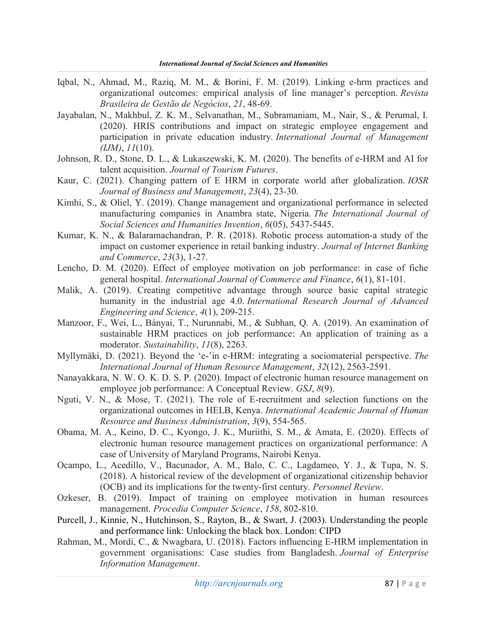- Iqbal, N., Ahmad, M., Raziq, M. M., & Borini, F. M. (2019). Linking e-hrm practices and organizational outcomes: empirical analysis of line manager's perception. Revista Brasileira de Gestão de Negócios, 21, 48-69.
- Jayabalan, N., Makhbul, Z. K. M., Selvanathan, M., Subramaniam, M., Nair, S., & Perumal, I. (2020). HRIS contributions and impact on strategic employee engagement and participation in private education industry. International Journal of Management  $(JM), 11(10).$
- Johnson, R. D., Stone, D. L., & Lukaszewski, K. M. (2020). The benefits of e-HRM and AI for talent acquisition. Journal of Tourism Futures.
- Kaur, C. (2021). Changing pattern of E HRM in corporate world after globalization. IOSR Journal of Business and Management, 23(4), 23-30.
- Kimhi, S., & Oliel, Y. (2019). Change management and organizational performance in selected manufacturing companies in Anambra state, Nigeria. The International Journal of Social Sciences and Humanities Invention, 6(05), 5437-5445.
- Kumar, K. N., & Balaramachandran, P. R. (2018). Robotic process automation-a study of the impact on customer experience in retail banking industry. Journal of Internet Banking and Commerce, 23(3), 1-27.
- Lencho, D. M. (2020). Effect of employee motivation on job performance: in case of fiche general hospital. International Journal of Commerce and Finance, 6(1), 81-101.
- Malik, A. (2019). Creating competitive advantage through source basic capital strategic humanity in the industrial age 4.0. International Research Journal of Advanced Engineering and Science, 4(1), 209-215.
- Manzoor, F., Wei, L., Bányai, T., Nurunnabi, M., & Subhan, Q. A. (2019). An examination of sustainable HRM practices on job performance: An application of training as a moderator. Sustainability, 11(8), 2263.
- Myllymäki, D. (2021). Beyond the 'e-'in e-HRM: integrating a sociomaterial perspective. The International Journal of Human Resource Management, 32(12), 2563-2591.
- Nanayakkara, N. W. O. K. D. S. P. (2020). Impact of electronic human resource management on employee job performance: A Conceptual Review. GSJ, 8(9).
- Nguti, V. N., & Mose, T. (2021). The role of E-recruitment and selection functions on the organizational outcomes in HELB, Kenya. International Academic Journal of Human Resource and Business Administration, 3(9), 554-565.
- Obama, M. A., Keino, D. C., Kyongo, J. K., Muriithi, S. M., & Amata, E. (2020). Effects of electronic human resource management practices on organizational performance: A case of University of Maryland Programs, Nairobi Kenya.
- Ocampo, L., Acedillo, V., Bacunador, A. M., Balo, C. C., Lagdameo, Y. J., & Tupa, N. S. (2018). A historical review of the development of organizational citizenship behavior (OCB) and its implications for the twenty-first century. Personnel Review.
- Ozkeser, B. (2019). Impact of training on employee motivation in human resources management. Procedia Computer Science, 158, 802-810.
- Purcell, J., Kinnie, N., Hutchinson, S., Rayton, B., & Swart, J. (2003). Understanding the people and performance link: Unlocking the black box. London: CIPD
- Rahman, M., Mordi, C., & Nwagbara, U. (2018). Factors influencing E-HRM implementation in government organisations: Case studies from Bangladesh. Journal of Enterprise Information Management.